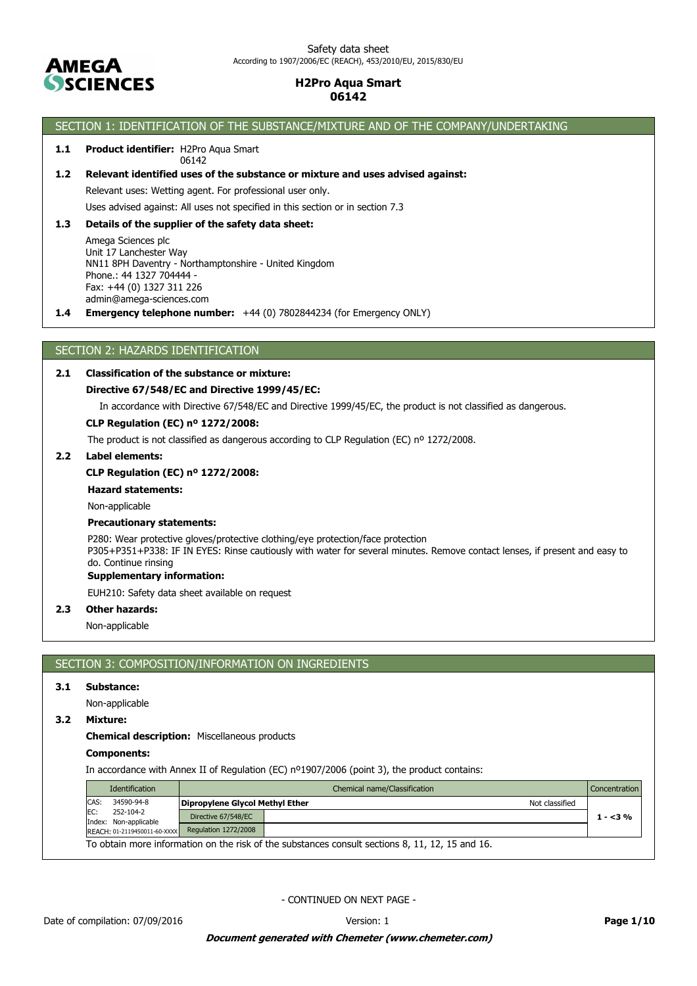

# SECTION 1: IDENTIFICATION OF THE SUBSTANCE/MIXTURE AND OF THE COMPANY/UNDERTAKING

#### **1.1 Product identifier:** H2Pro Aqua Smart 06142

### **1.2 Relevant identified uses of the substance or mixture and uses advised against:**

Relevant uses: Wetting agent. For professional user only.

Uses advised against: All uses not specified in this section or in section 7.3

### **1.3 Details of the supplier of the safety data sheet:**

Amega Sciences plc Unit 17 Lanchester Way NN11 8PH Daventry - Northamptonshire - United Kingdom Phone.: 44 1327 704444 - Fax: +44 (0) 1327 311 226 admin@amega-sciences.com

**1.4 Emergency telephone number:** +44 (0) 7802844234 (for Emergency ONLY)

### SECTION 2: HAZARDS IDENTIFICATION

### **2.1 Classification of the substance or mixture:**

### **Directive 67/548/EC and Directive 1999/45/EC:**

In accordance with Directive 67/548/EC and Directive 1999/45/EC, the product is not classified as dangerous.

#### **CLP Regulation (EC) nº 1272/2008:**

The product is not classified as dangerous according to CLP Regulation (EC) nº 1272/2008.

#### **2.2 Label elements:**

### **CLP Regulation (EC) nº 1272/2008:**

**Hazard statements:**

Non-applicable

### **Precautionary statements:**

P280: Wear protective gloves/protective clothing/eye protection/face protection P305+P351+P338: IF IN EYES: Rinse cautiously with water for several minutes. Remove contact lenses, if present and easy to do. Continue rinsing

# **Supplementary information:**

EUH210: Safety data sheet available on request

### **2.3 Other hazards:**

Non-applicable

# SECTION 3: COMPOSITION/INFORMATION ON INGREDIENTS

### **3.1 Substance:**

Non-applicable

### **3.2 Mixture:**

# **Chemical description:** Miscellaneous products

# **Components:**

In accordance with Annex II of Regulation (EC) nº1907/2006 (point 3), the product contains:

|      | <b>Identification</b>              | Chemical name/Classification    |                                                                                                 |  | <b>Concentration</b> |
|------|------------------------------------|---------------------------------|-------------------------------------------------------------------------------------------------|--|----------------------|
| CAS: | 34590-94-8                         | Dipropylene Glycol Methyl Ether | Not classified                                                                                  |  |                      |
| EC:  | 252-104-2<br>Index: Non-applicable | Directive 67/548/EC             |                                                                                                 |  | $1 - 3%$             |
|      | REACH: 01-2119450011-60-XXXX       | Regulation 1272/2008            |                                                                                                 |  |                      |
|      |                                    |                                 | To obtain more information on the risk of the substances consult sections 8, 11, 12, 15 and 16. |  |                      |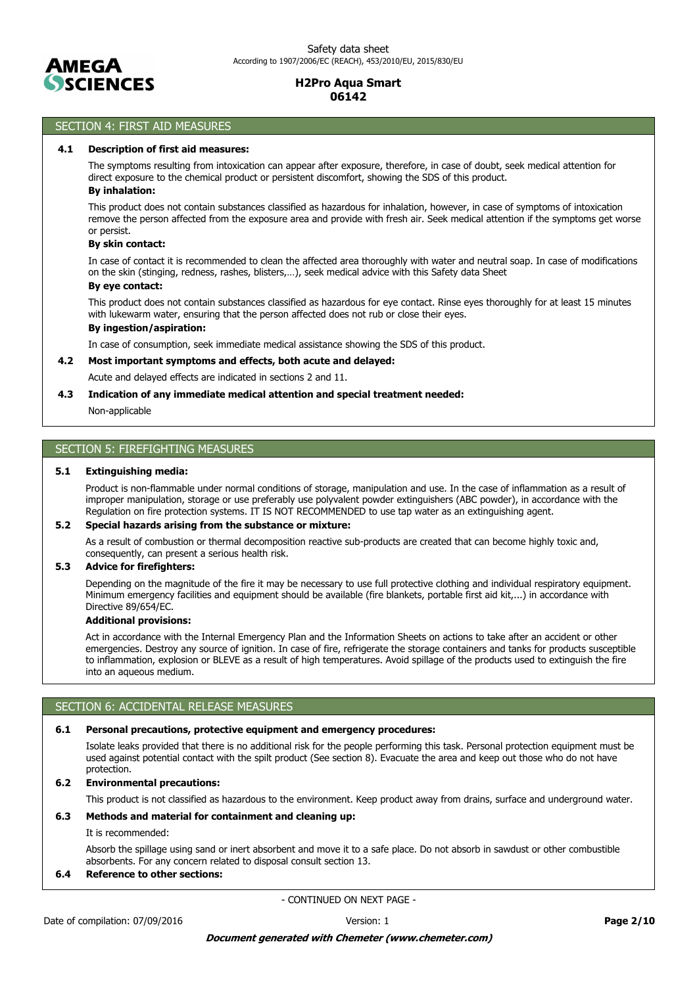

# SECTION 4: FIRST AID MEASURES

### **4.1 Description of first aid measures:**

The symptoms resulting from intoxication can appear after exposure, therefore, in case of doubt, seek medical attention for direct exposure to the chemical product or persistent discomfort, showing the SDS of this product.

# **By inhalation:**

This product does not contain substances classified as hazardous for inhalation, however, in case of symptoms of intoxication remove the person affected from the exposure area and provide with fresh air. Seek medical attention if the symptoms get worse or persist.

### **By skin contact:**

In case of contact it is recommended to clean the affected area thoroughly with water and neutral soap. In case of modifications on the skin (stinging, redness, rashes, blisters,…), seek medical advice with this Safety data Sheet

# **By eye contact:**

This product does not contain substances classified as hazardous for eye contact. Rinse eyes thoroughly for at least 15 minutes with lukewarm water, ensuring that the person affected does not rub or close their eyes.

### **By ingestion/aspiration:**

In case of consumption, seek immediate medical assistance showing the SDS of this product.

#### **4.2 Most important symptoms and effects, both acute and delayed:**

Acute and delayed effects are indicated in sections 2 and 11.

#### **4.3 Indication of any immediate medical attention and special treatment needed:**

Non-applicable

# SECTION 5: FIREFIGHTING MEASURES

### **5.1 Extinguishing media:**

Product is non-flammable under normal conditions of storage, manipulation and use. In the case of inflammation as a result of improper manipulation, storage or use preferably use polyvalent powder extinguishers (ABC powder), in accordance with the Regulation on fire protection systems. IT IS NOT RECOMMENDED to use tap water as an extinguishing agent.

#### **5.2 Special hazards arising from the substance or mixture:**

As a result of combustion or thermal decomposition reactive sub-products are created that can become highly toxic and, consequently, can present a serious health risk.

#### **5.3 Advice for firefighters:**

Depending on the magnitude of the fire it may be necessary to use full protective clothing and individual respiratory equipment. Minimum emergency facilities and equipment should be available (fire blankets, portable first aid kit,...) in accordance with Directive 89/654/EC.

### **Additional provisions:**

Act in accordance with the Internal Emergency Plan and the Information Sheets on actions to take after an accident or other emergencies. Destroy any source of ignition. In case of fire, refrigerate the storage containers and tanks for products susceptible to inflammation, explosion or BLEVE as a result of high temperatures. Avoid spillage of the products used to extinguish the fire into an aqueous medium.

### SECTION 6: ACCIDENTAL RELEASE MEASURES

### **6.1 Personal precautions, protective equipment and emergency procedures:**

Isolate leaks provided that there is no additional risk for the people performing this task. Personal protection equipment must be used against potential contact with the spilt product (See section 8). Evacuate the area and keep out those who do not have protection.

### **6.2 Environmental precautions:**

This product is not classified as hazardous to the environment. Keep product away from drains, surface and underground water.

### **6.3 Methods and material for containment and cleaning up:**

#### It is recommended:

Absorb the spillage using sand or inert absorbent and move it to a safe place. Do not absorb in sawdust or other combustible absorbents. For any concern related to disposal consult section 13.

### **6.4 Reference to other sections:**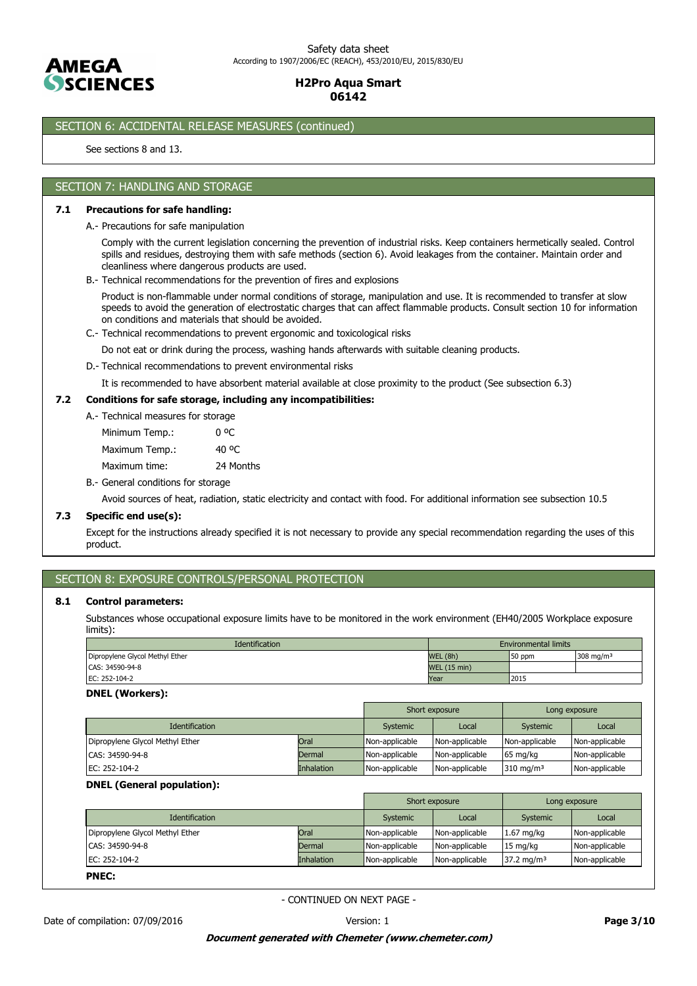

# SECTION 6: ACCIDENTAL RELEASE MEASURES (continued)

See sections 8 and 13.

### SECTION 7: HANDLING AND STORAGE

#### **7.1 Precautions for safe handling:**

A.- Precautions for safe manipulation

Comply with the current legislation concerning the prevention of industrial risks. Keep containers hermetically sealed. Control spills and residues, destroying them with safe methods (section 6). Avoid leakages from the container. Maintain order and cleanliness where dangerous products are used.

B.- Technical recommendations for the prevention of fires and explosions

Product is non-flammable under normal conditions of storage, manipulation and use. It is recommended to transfer at slow speeds to avoid the generation of electrostatic charges that can affect flammable products. Consult section 10 for information on conditions and materials that should be avoided.

C.- Technical recommendations to prevent ergonomic and toxicological risks

Do not eat or drink during the process, washing hands afterwards with suitable cleaning products.

D.- Technical recommendations to prevent environmental risks

It is recommended to have absorbent material available at close proximity to the product (See subsection 6.3)

### **7.2 Conditions for safe storage, including any incompatibilities:**

A.- Technical measures for storage

| Minimum Temp.: |           |
|----------------|-----------|
| Maximum Temp.: | 40 °C     |
| Maximum time:  | 24 Months |

B.- General conditions for storage

Avoid sources of heat, radiation, static electricity and contact with food. For additional information see subsection 10.5

### **7.3 Specific end use(s):**

Except for the instructions already specified it is not necessary to provide any special recommendation regarding the uses of this product.

### SECTION 8: EXPOSURE CONTROLS/PERSONAL PROTECTION

#### **8.1 Control parameters:**

Substances whose occupational exposure limits have to be monitored in the work environment (EH40/2005 Workplace exposure limits):

| <b>Identification</b>           | <b>Environmental limits</b> |        |                         |
|---------------------------------|-----------------------------|--------|-------------------------|
| Dipropylene Glycol Methyl Ether | WEL (8h)                    | 50 ppm | $308$ ma/m <sup>3</sup> |
| CAS: 34590-94-8                 | <b>WEL (15 min)</b>         |        |                         |
| EC: 252-104-2                   | 2015<br>Year                |        |                         |

#### **DNEL (Workers):**

|                                 |                   |                | Short exposure |                      | Long exposure  |
|---------------------------------|-------------------|----------------|----------------|----------------------|----------------|
| <b>Identification</b>           |                   | Systemic       | Local          | Systemic             | Local          |
| Dipropylene Glycol Methyl Ether | Oral              | Non-applicable | Non-applicable | Non-applicable       | Non-applicable |
| CAS: 34590-94-8                 | Dermal            | Non-applicable | Non-applicable | $65 \text{ mg/kg}$   | Non-applicable |
| EC: 252-104-2                   | <b>Inhalation</b> | Non-applicable | Non-applicable | $310 \text{ mg/m}^3$ | Non-applicable |

#### **DNEL (General population):**

|                                 |                   |                | Short exposure |                       | Long exposure  |
|---------------------------------|-------------------|----------------|----------------|-----------------------|----------------|
| <b>Identification</b>           |                   | Systemic       | Local          | Systemic              | Local          |
| Dipropylene Glycol Methyl Ether | Oral              | Non-applicable | Non-applicable | $1.67$ mg/kg          | Non-applicable |
| CAS: 34590-94-8                 | Dermal            | Non-applicable | Non-applicable | 15 mg/kg              | Non-applicable |
| EC: 252-104-2                   | <b>Inhalation</b> | Non-applicable | Non-applicable | $37.2 \text{ mg/m}^3$ | Non-applicable |
| <b>PNEC:</b>                    |                   |                |                |                       |                |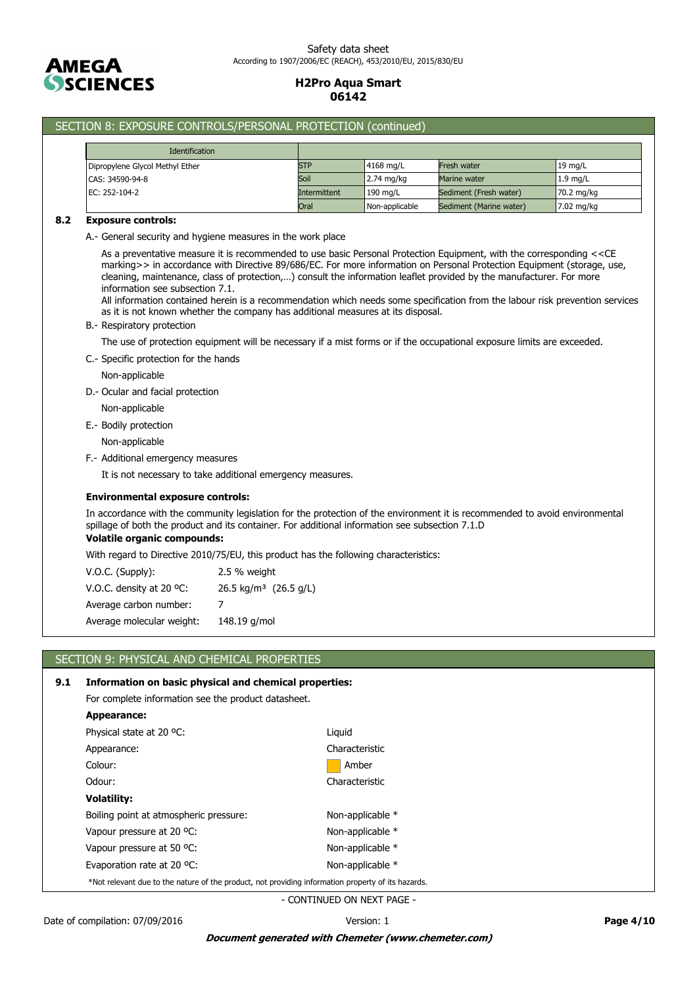

# SECTION 8: EXPOSURE CONTROLS/PERSONAL PROTECTION (continued)

| <b>Identification</b>           |              |                |                         |            |
|---------------------------------|--------------|----------------|-------------------------|------------|
| Dipropylene Glycol Methyl Ether | <b>STP</b>   | $14168$ mg/L   | <b>Fresh water</b>      | $19$ mg/L  |
| CAS: 34590-94-8                 | Soil         | 2.74 mg/kg     | Marine water            | $1.9$ mg/L |
| EC: 252-104-2                   | Intermittent | 190 mg/L       | Sediment (Fresh water)  | 70.2 mg/kg |
|                                 | Oral         | Non-applicable | Sediment (Marine water) | 7.02 mg/kg |

#### **8.2 Exposure controls:**

A.- General security and hygiene measures in the work place

As a preventative measure it is recommended to use basic Personal Protection Equipment, with the corresponding <<CE marking>> in accordance with Directive 89/686/EC. For more information on Personal Protection Equipment (storage, use, cleaning, maintenance, class of protection,…) consult the information leaflet provided by the manufacturer. For more information see subsection 7.1.

All information contained herein is a recommendation which needs some specification from the labour risk prevention services as it is not known whether the company has additional measures at its disposal.

### B.- Respiratory protection

The use of protection equipment will be necessary if a mist forms or if the occupational exposure limits are exceeded.

C.- Specific protection for the hands

Non-applicable

- D.- Ocular and facial protection
	- Non-applicable
- E.- Bodily protection

Non-applicable

F.- Additional emergency measures

It is not necessary to take additional emergency measures.

### **Environmental exposure controls:**

In accordance with the community legislation for the protection of the environment it is recommended to avoid environmental spillage of both the product and its container. For additional information see subsection 7.1.D

### **Volatile organic compounds:**

With regard to Directive 2010/75/EU, this product has the following characteristics:

| V.O.C. (Supply):          | 2.5 % weight                     |
|---------------------------|----------------------------------|
| V.O.C. density at 20 °C:  | $26.5 \text{ kg/m}^3$ (26.5 g/L) |
| Average carbon number:    |                                  |
| Average molecular weight: | 148.19 g/mol                     |

# SECTION 9: PHYSICAL AND CHEMICAL PROPERTIES

### **9.1 Information on basic physical and chemical properties:**

For complete information see the product datasheet.

| Appearance:                                                                                        |                  |
|----------------------------------------------------------------------------------------------------|------------------|
| Physical state at 20 °C:                                                                           | Liguid           |
| Appearance:                                                                                        | Characteristic   |
| Colour:                                                                                            | Amber            |
| Odour:                                                                                             | Characteristic   |
| <b>Volatility:</b>                                                                                 |                  |
| Boiling point at atmospheric pressure:                                                             | Non-applicable * |
| Vapour pressure at 20 °C:                                                                          | Non-applicable * |
| Vapour pressure at 50 °C:                                                                          | Non-applicable * |
| Evaporation rate at 20 °C:                                                                         | Non-applicable * |
| *Not relevant due to the nature of the product, not providing information property of its hazards. |                  |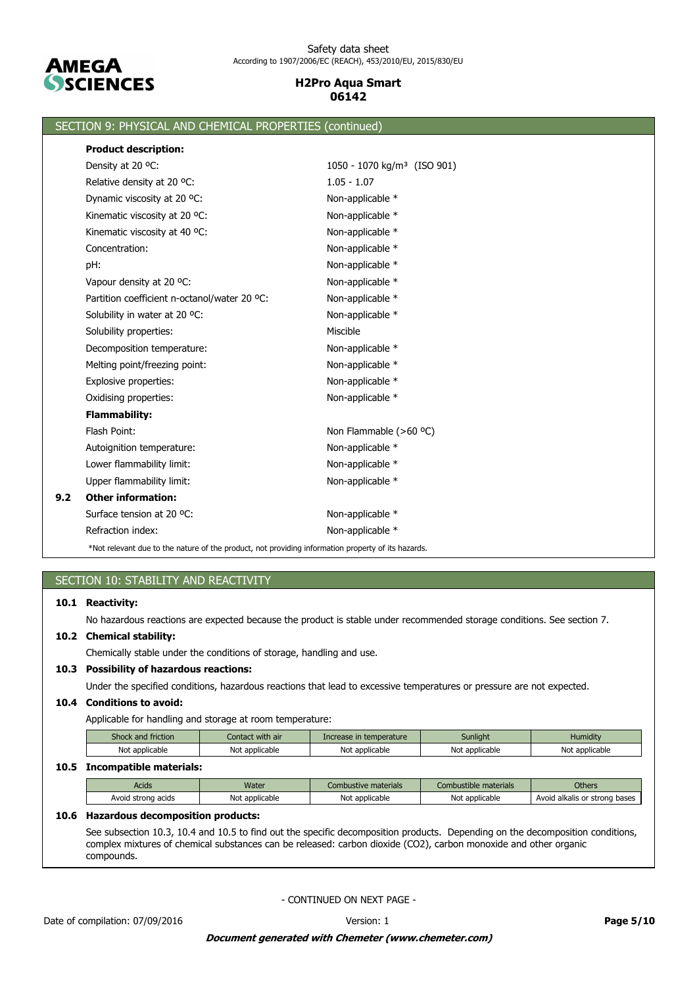

|     | SECTION 9: PHYSICAL AND CHEMICAL PROPERTIES (continued)                                            |                                         |  |  |  |  |
|-----|----------------------------------------------------------------------------------------------------|-----------------------------------------|--|--|--|--|
|     | <b>Product description:</b>                                                                        |                                         |  |  |  |  |
|     | Density at 20 °C:                                                                                  | 1050 - 1070 kg/m <sup>3</sup> (ISO 901) |  |  |  |  |
|     | Relative density at 20 °C:                                                                         | $1.05 - 1.07$                           |  |  |  |  |
|     | Dynamic viscosity at 20 °C:                                                                        | Non-applicable *                        |  |  |  |  |
|     | Kinematic viscosity at 20 °C:                                                                      | Non-applicable *                        |  |  |  |  |
|     | Kinematic viscosity at 40 °C:                                                                      | Non-applicable *                        |  |  |  |  |
|     | Concentration:                                                                                     | Non-applicable *                        |  |  |  |  |
|     | pH:                                                                                                | Non-applicable *                        |  |  |  |  |
|     | Vapour density at 20 °C:                                                                           | Non-applicable *                        |  |  |  |  |
|     | Partition coefficient n-octanol/water 20 °C:                                                       | Non-applicable *                        |  |  |  |  |
|     | Solubility in water at 20 °C:                                                                      | Non-applicable *                        |  |  |  |  |
|     | Solubility properties:                                                                             | Miscible                                |  |  |  |  |
|     | Decomposition temperature:                                                                         | Non-applicable *                        |  |  |  |  |
|     | Melting point/freezing point:                                                                      | Non-applicable *                        |  |  |  |  |
|     | Explosive properties:                                                                              | Non-applicable *                        |  |  |  |  |
|     | Oxidising properties:                                                                              | Non-applicable *                        |  |  |  |  |
|     | <b>Flammability:</b>                                                                               |                                         |  |  |  |  |
|     | Flash Point:                                                                                       | Non Flammable (>60 °C)                  |  |  |  |  |
|     | Autoignition temperature:                                                                          | Non-applicable *                        |  |  |  |  |
|     | Lower flammability limit:                                                                          | Non-applicable *                        |  |  |  |  |
|     | Upper flammability limit:                                                                          | Non-applicable *                        |  |  |  |  |
| 9.2 | <b>Other information:</b>                                                                          |                                         |  |  |  |  |
|     | Surface tension at 20 °C.                                                                          | Non-applicable *                        |  |  |  |  |
|     | Refraction index:                                                                                  | Non-applicable *                        |  |  |  |  |
|     | *Not relevant due to the nature of the product, not providing information property of its hazards. |                                         |  |  |  |  |

|  | SECTION 10: STABILITY AND REACTIVITY |
|--|--------------------------------------|
|  |                                      |

### **10.1 Reactivity:**

No hazardous reactions are expected because the product is stable under recommended storage conditions. See section 7.

# **10.2 Chemical stability:**

Chemically stable under the conditions of storage, handling and use.

### **10.3 Possibility of hazardous reactions:**

Under the specified conditions, hazardous reactions that lead to excessive temperatures or pressure are not expected.

### **10.4 Conditions to avoid:**

Applicable for handling and storage at room temperature:

| Shock and friction | Contact with air | Increase in temperature | Sunliaht       | Humiditv       |
|--------------------|------------------|-------------------------|----------------|----------------|
| Not applicable     | Not applicable   | Not applicable          | Not applicable | Not applicable |

### **10.5 Incompatible materials:**

| <b>Acids</b>             | Water               | : materials<br>.ombustive | mbustible materials. | Others                              |
|--------------------------|---------------------|---------------------------|----------------------|-------------------------------------|
| Avoid<br>acids<br>strona | : applicable<br>Not | Not applicable            | Not applicable       | Avoid alkalis<br>bases<br>or strong |

# **10.6 Hazardous decomposition products:**

See subsection 10.3, 10.4 and 10.5 to find out the specific decomposition products. Depending on the decomposition conditions, complex mixtures of chemical substances can be released: carbon dioxide (CO2), carbon monoxide and other organic compounds.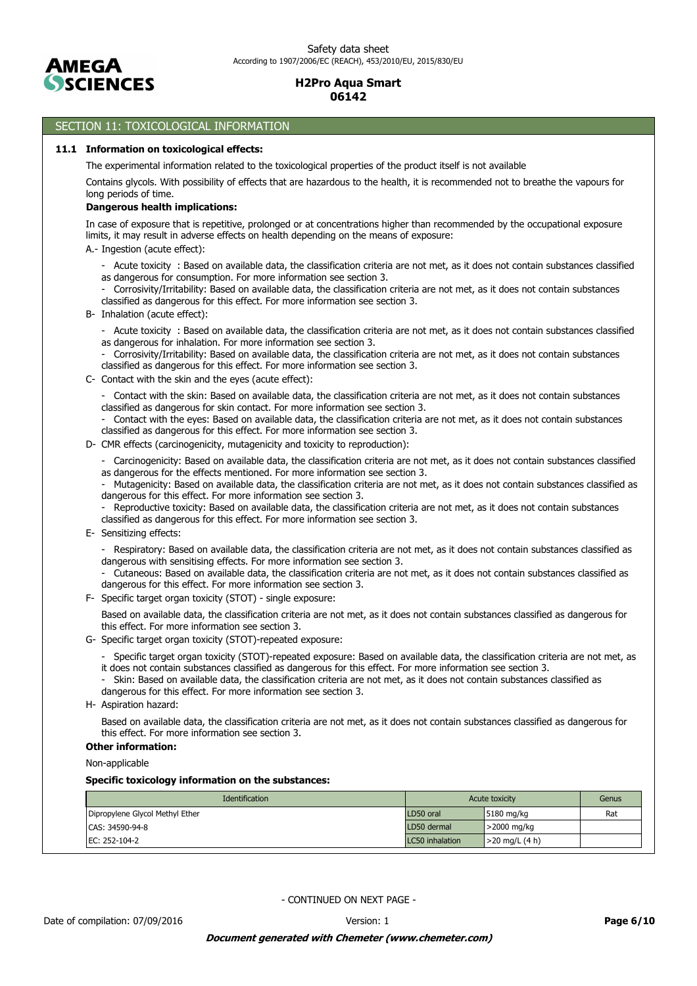

# SECTION 11: TOXICOLOGICAL INFORMATION

#### **11.1 Information on toxicological effects:**

The experimental information related to the toxicological properties of the product itself is not available

Contains glycols. With possibility of effects that are hazardous to the health, it is recommended not to breathe the vapours for long periods of time.

# **Dangerous health implications:**

In case of exposure that is repetitive, prolonged or at concentrations higher than recommended by the occupational exposure limits, it may result in adverse effects on health depending on the means of exposure:

- A.- Ingestion (acute effect):
	- Acute toxicity : Based on available data, the classification criteria are not met, as it does not contain substances classified as dangerous for consumption. For more information see section 3.
	- Corrosivity/Irritability: Based on available data, the classification criteria are not met, as it does not contain substances classified as dangerous for this effect. For more information see section 3.
- B- Inhalation (acute effect):
	- Acute toxicity : Based on available data, the classification criteria are not met, as it does not contain substances classified as dangerous for inhalation. For more information see section 3.
	- Corrosivity/Irritability: Based on available data, the classification criteria are not met, as it does not contain substances classified as dangerous for this effect. For more information see section 3.
- C- Contact with the skin and the eyes (acute effect):
	- Contact with the skin: Based on available data, the classification criteria are not met, as it does not contain substances classified as dangerous for skin contact. For more information see section 3.
	- Contact with the eyes: Based on available data, the classification criteria are not met, as it does not contain substances classified as dangerous for this effect. For more information see section 3.
- D- CMR effects (carcinogenicity, mutagenicity and toxicity to reproduction):
	- Carcinogenicity: Based on available data, the classification criteria are not met, as it does not contain substances classified as dangerous for the effects mentioned. For more information see section 3.
	- Mutagenicity: Based on available data, the classification criteria are not met, as it does not contain substances classified as dangerous for this effect. For more information see section 3.
	- Reproductive toxicity: Based on available data, the classification criteria are not met, as it does not contain substances classified as dangerous for this effect. For more information see section 3.
- E- Sensitizing effects:
	- Respiratory: Based on available data, the classification criteria are not met, as it does not contain substances classified as dangerous with sensitising effects. For more information see section 3.
	- Cutaneous: Based on available data, the classification criteria are not met, as it does not contain substances classified as dangerous for this effect. For more information see section 3.
- F- Specific target organ toxicity (STOT) single exposure:

Based on available data, the classification criteria are not met, as it does not contain substances classified as dangerous for this effect. For more information see section 3.

- G- Specific target organ toxicity (STOT)-repeated exposure:
	- Specific target organ toxicity (STOT)-repeated exposure: Based on available data, the classification criteria are not met, as it does not contain substances classified as dangerous for this effect. For more information see section 3.
	- Skin: Based on available data, the classification criteria are not met, as it does not contain substances classified as dangerous for this effect. For more information see section 3.
- H- Aspiration hazard:

Based on available data, the classification criteria are not met, as it does not contain substances classified as dangerous for this effect. For more information see section 3.

#### **Other information:**

Non-applicable

**Specific toxicology information on the substances:**

| <b>Identification</b>           |                 | Acute toxicity   | Genus |
|---------------------------------|-----------------|------------------|-------|
| Dipropylene Glycol Methyl Ether | LD50 oral       | $15180$ mg/kg    | Rat   |
| CAS: 34590-94-8                 | LD50 dermal     | $>$ 2000 mg/kg   |       |
| EC: 252-104-2                   | LC50 inhalation | $>20$ mg/L (4 h) |       |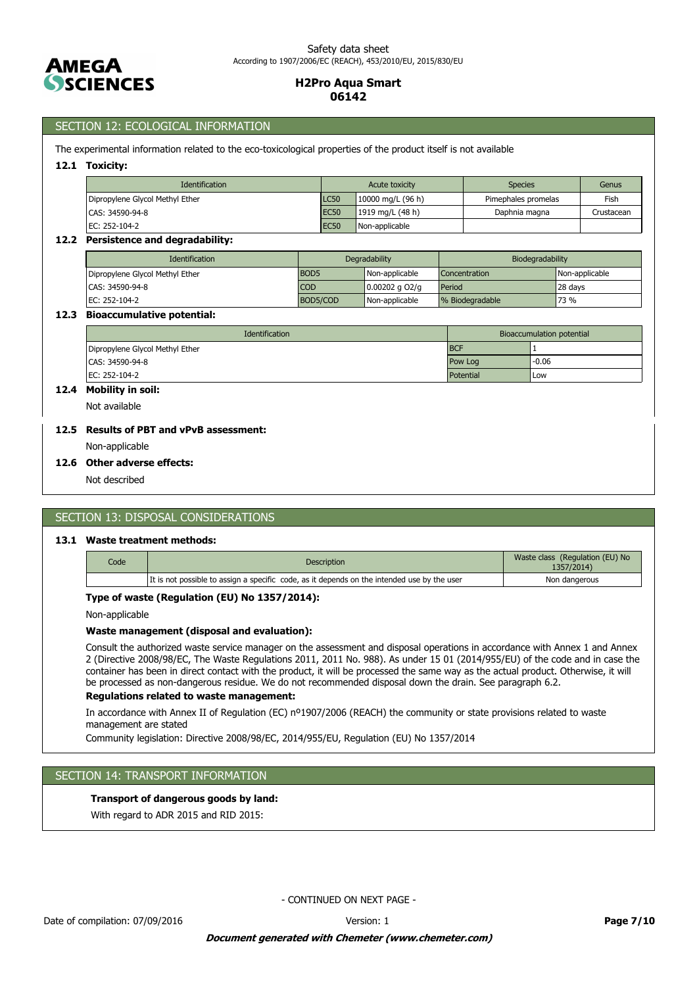

### SECTION 12: ECOLOGICAL INFORMATION

The experimental information related to the eco-toxicological properties of the product itself is not available

#### **12.1 Toxicity:**

| <b>Identification</b>           |                  | Acute toxicity      | <b>Species</b>      | Genus      |
|---------------------------------|------------------|---------------------|---------------------|------------|
| Dipropylene Glycol Methyl Ether | <b>LC50</b>      | 10000 mg/L $(96 h)$ | Pimephales promelas | Fish       |
| ICAS: 34590-94-8                | EC <sub>50</sub> | 1919 mg/L $(48 h)$  | Daphnia magna       | Crustacean |
| EC: 252-104-2                   | <b>EC50</b>      | Non-applicable      |                     |            |

#### **12.2 Persistence and degradability:**

| <b>Identification</b>           |             | Degradability  | Biodegradability     |                |
|---------------------------------|-------------|----------------|----------------------|----------------|
| Dipropylene Glycol Methyl Ether | <b>BOD5</b> | Non-applicable | <b>Concentration</b> | Non-applicable |
| CAS: 34590-94-8                 | <b>COD</b>  | 0.00202 g O2/g | Period               | 28 days        |
| EC: 252-104-2                   | BOD5/COD    | Non-applicable | % Biodegradable      | 73 %           |

#### **12.3 Bioaccumulative potential:**

| <b>Identification</b>           |            | Bioaccumulation potential |
|---------------------------------|------------|---------------------------|
| Dipropylene Glycol Methyl Ether | <b>BCF</b> |                           |
| CAS: 34590-94-8                 | Pow Log    | $-0.06$                   |
| EC: 252-104-2                   | Potential  | Low                       |

# **12.4 Mobility in soil:**

Not available

# **12.5 Results of PBT and vPvB assessment:**

Non-applicable

#### **12.6 Other adverse effects:**

Not described

### SECTION 13: DISPOSAL CONSIDERATIONS

#### **13.1 Waste treatment methods:**

| Code | Description                                                                                 | Waste class (Regulation (EU) No<br>1357/2014) |
|------|---------------------------------------------------------------------------------------------|-----------------------------------------------|
|      | It is not possible to assign a specific code, as it depends on the intended use by the user | Non dangerous                                 |

#### **Type of waste (Regulation (EU) No 1357/2014):**

Non-applicable

#### **Waste management (disposal and evaluation):**

Consult the authorized waste service manager on the assessment and disposal operations in accordance with Annex 1 and Annex 2 (Directive 2008/98/EC, The Waste Regulations 2011, 2011 No. 988). As under 15 01 (2014/955/EU) of the code and in case the container has been in direct contact with the product, it will be processed the same way as the actual product. Otherwise, it will be processed as non-dangerous residue. We do not recommended disposal down the drain. See paragraph 6.2.

### **Regulations related to waste management:**

In accordance with Annex II of Regulation (EC) nº1907/2006 (REACH) the community or state provisions related to waste management are stated

Community legislation: Directive 2008/98/EC, 2014/955/EU, Regulation (EU) No 1357/2014

# SECTION 14: TRANSPORT INFORMATION

### **Transport of dangerous goods by land:**

With regard to ADR 2015 and RID 2015: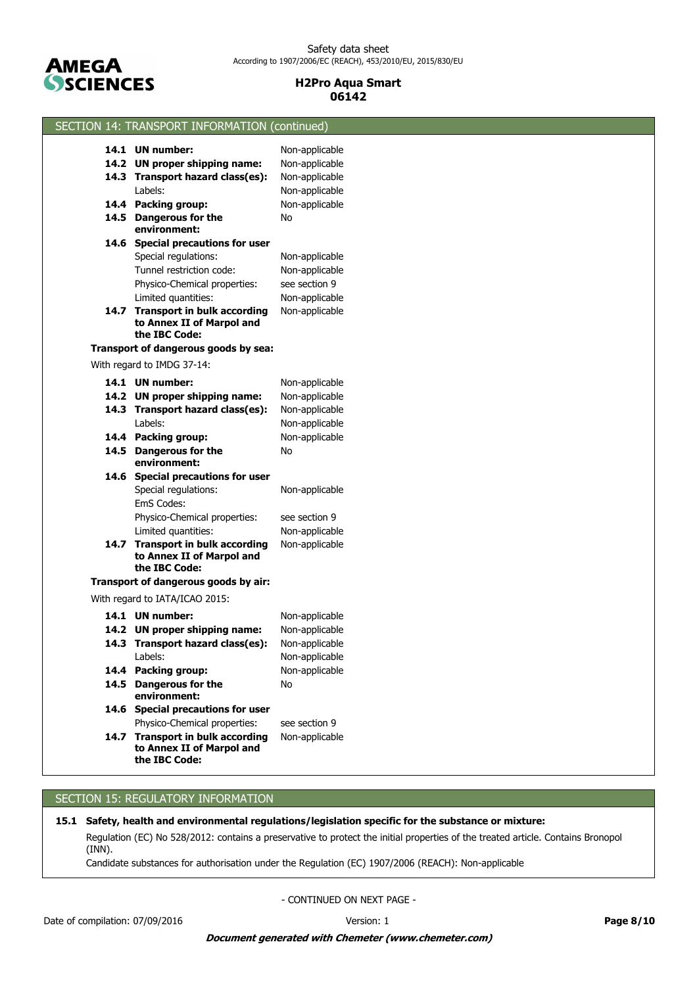

| SECTION 14: TRANSPORT INFORMATION (continued)                                  |                |  |
|--------------------------------------------------------------------------------|----------------|--|
| 14.1 UN number:                                                                | Non-applicable |  |
| 14.2 UN proper shipping name:                                                  | Non-applicable |  |
| 14.3 Transport hazard class(es):                                               | Non-applicable |  |
| Labels:                                                                        | Non-applicable |  |
| 14.4 Packing group:                                                            | Non-applicable |  |
| 14.5 Dangerous for the                                                         | No             |  |
| environment:                                                                   |                |  |
| 14.6 Special precautions for user                                              |                |  |
| Special regulations:                                                           | Non-applicable |  |
| Tunnel restriction code:                                                       | Non-applicable |  |
| Physico-Chemical properties:                                                   | see section 9  |  |
| Limited quantities:                                                            | Non-applicable |  |
| 14.7 Transport in bulk according<br>to Annex II of Marpol and<br>the IBC Code: | Non-applicable |  |
| Transport of dangerous goods by sea:                                           |                |  |
| With regard to IMDG 37-14:                                                     |                |  |
| 14.1 UN number:                                                                | Non-applicable |  |
| 14.2 UN proper shipping name:                                                  | Non-applicable |  |
| 14.3 Transport hazard class(es):                                               | Non-applicable |  |
| Labels:                                                                        | Non-applicable |  |
| 14.4 Packing group:                                                            | Non-applicable |  |
| 14.5 Dangerous for the<br>environment:                                         | No             |  |
| 14.6 Special precautions for user                                              |                |  |
| Special regulations:<br>EmS Codes:                                             | Non-applicable |  |
| Physico-Chemical properties:                                                   | see section 9  |  |
| Limited quantities:                                                            | Non-applicable |  |
| 14.7 Transport in bulk according<br>to Annex II of Marpol and<br>the IBC Code: | Non-applicable |  |
| Transport of dangerous goods by air:                                           |                |  |
| With regard to IATA/ICAO 2015:                                                 |                |  |
| 14.1 UN number:                                                                | Non-applicable |  |
| 14.2 UN proper shipping name:                                                  | Non-applicable |  |
| 14.3 Transport hazard class(es):                                               | Non-applicable |  |
| Labels:                                                                        | Non-applicable |  |
| 14.4 Packing group:                                                            | Non-applicable |  |
| 14.5 Dangerous for the<br>environment:                                         | No             |  |
| 14.6 Special precautions for user                                              |                |  |
| Physico-Chemical properties:                                                   | see section 9  |  |
| 14.7 Transport in bulk according<br>to Annex II of Marpol and<br>the IBC Code: | Non-applicable |  |

# SECTION 15: REGULATORY INFORMATION

**15.1 Safety, health and environmental regulations/legislation specific for the substance or mixture:**

Regulation (EC) No 528/2012: contains a preservative to protect the initial properties of the treated article. Contains Bronopol (INN).

Candidate substances for authorisation under the Regulation (EC) 1907/2006 (REACH): Non-applicable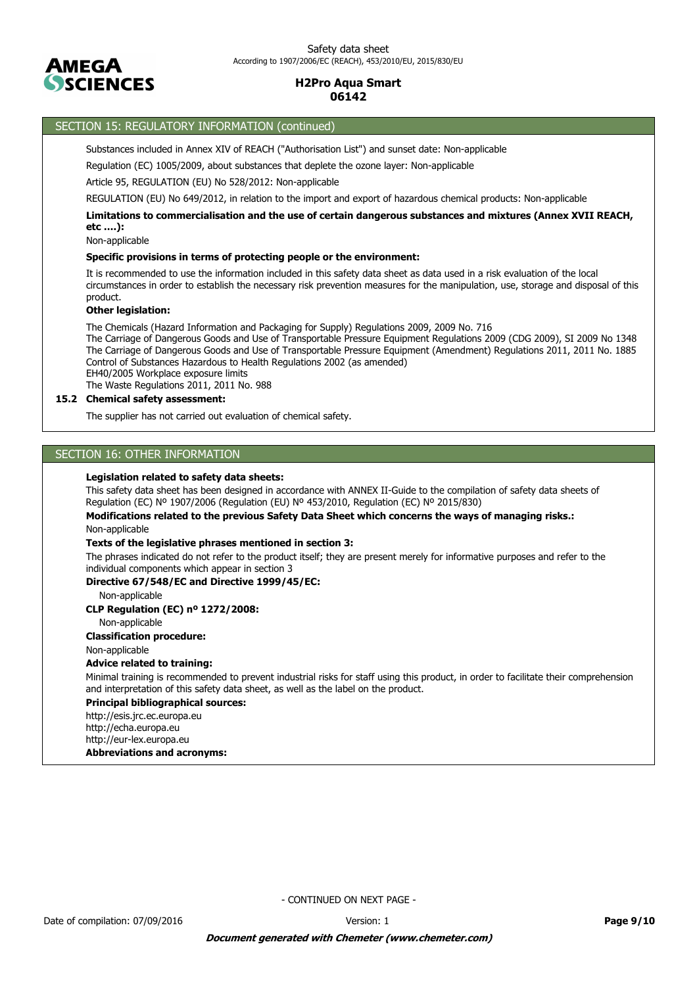

# SECTION 15: REGULATORY INFORMATION (continued)

Substances included in Annex XIV of REACH ("Authorisation List") and sunset date: Non-applicable

Regulation (EC) 1005/2009, about substances that deplete the ozone layer: Non-applicable

Article 95, REGULATION (EU) No 528/2012: Non-applicable

REGULATION (EU) No 649/2012, in relation to the import and export of hazardous chemical products: Non-applicable

**Limitations to commercialisation and the use of certain dangerous substances and mixtures (Annex XVII REACH, etc ….):**

Non-applicable

#### **Specific provisions in terms of protecting people or the environment:**

It is recommended to use the information included in this safety data sheet as data used in a risk evaluation of the local circumstances in order to establish the necessary risk prevention measures for the manipulation, use, storage and disposal of this product.

#### **Other legislation:**

The Chemicals (Hazard Information and Packaging for Supply) Regulations 2009, 2009 No. 716

The Carriage of Dangerous Goods and Use of Transportable Pressure Equipment Regulations 2009 (CDG 2009), SI 2009 No 1348 The Carriage of Dangerous Goods and Use of Transportable Pressure Equipment (Amendment) Regulations 2011, 2011 No. 1885 Control of Substances Hazardous to Health Regulations 2002 (as amended) EH40/2005 Workplace exposure limits

The Waste Regulations 2011, 2011 No. 988

### **15.2 Chemical safety assessment:**

The supplier has not carried out evaluation of chemical safety.

# SECTION 16: OTHER INFORMATION

### **Legislation related to safety data sheets:**

This safety data sheet has been designed in accordance with ANNEX II-Guide to the compilation of safety data sheets of Regulation (EC) Nº 1907/2006 (Regulation (EU) Nº 453/2010, Regulation (EC) Nº 2015/830)

Non-applicable **Modifications related to the previous Safety Data Sheet which concerns the ways of managing risks.:**

#### **Texts of the legislative phrases mentioned in section 3:**

The phrases indicated do not refer to the product itself; they are present merely for informative purposes and refer to the individual components which appear in section 3

### **Directive 67/548/EC and Directive 1999/45/EC:**

Non-applicable

**CLP Regulation (EC) nº 1272/2008:**

### Non-applicable

### **Classification procedure:**

Non-applicable

### **Advice related to training:**

Minimal training is recommended to prevent industrial risks for staff using this product, in order to facilitate their comprehension and interpretation of this safety data sheet, as well as the label on the product.

#### **Principal bibliographical sources:**

http://esis.jrc.ec.europa.eu http://echa.europa.eu http://eur-lex.europa.eu

#### **Abbreviations and acronyms:**